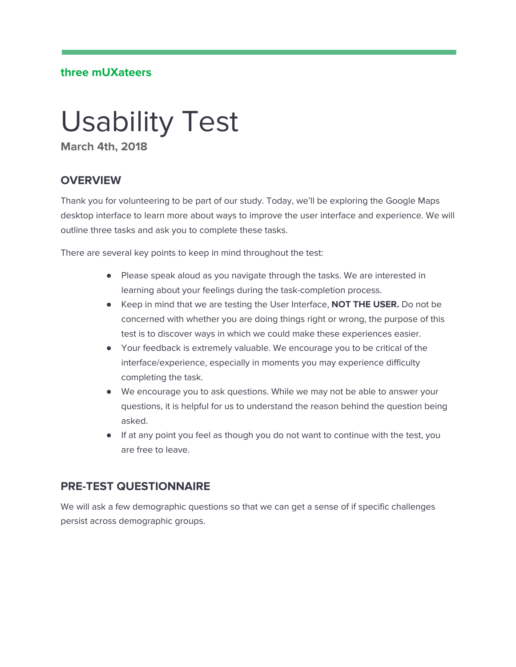#### **three mUXateers**

# Usability Test

**March 4th, 2018**

## **OVERVIEW**

Thank you for volunteering to be part of our study. Today, we'll be exploring the Google Maps desktop interface to learn more about ways to improve the user interface and experience. We will outline three tasks and ask you to complete these tasks.

There are several key points to keep in mind throughout the test:

- Please speak aloud as you navigate through the tasks. We are interested in learning about your feelings during the task-completion process.
- Keep in mind that we are testing the User Interface, **NOT THE USER.** Do not be concerned with whether you are doing things right or wrong, the purpose of this test is to discover ways in which we could make these experiences easier.
- Your feedback is extremely valuable. We encourage you to be critical of the interface/experience, especially in moments you may experience difficulty completing the task.
- We encourage you to ask questions. While we may not be able to answer your questions, it is helpful for us to understand the reason behind the question being asked.
- If at any point you feel as though you do not want to continue with the test, you are free to leave.

## **PRE-TEST QUESTIONNAIRE**

We will ask a few demographic questions so that we can get a sense of if specific challenges persist across demographic groups.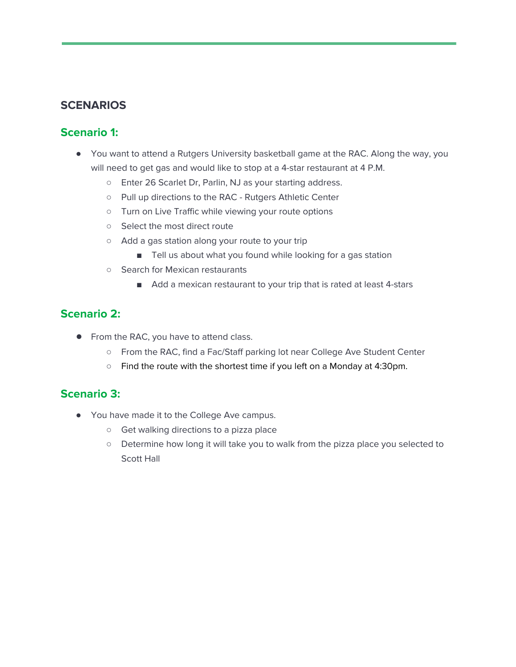## **SCENARIOS**

## **Scenario 1:**

- You want to attend a Rutgers University basketball game at the RAC. Along the way, you will need to get gas and would like to stop at a 4-star restaurant at 4 P.M.
	- Enter 26 Scarlet Dr, Parlin, NJ as your starting address.
	- Pull up directions to the RAC Rutgers Athletic Center
	- Turn on Live Traffic while viewing your route options
	- Select the most direct route
	- Add a gas station along your route to your trip
		- Tell us about what you found while looking for a gas station
	- Search for Mexican restaurants
		- Add a mexican restaurant to your trip that is rated at least 4-stars

#### **Scenario 2:**

- From the RAC, you have to attend class.
	- From the RAC, find a Fac/Staff parking lot near College Ave Student Center
	- Find the route with the shortest time if you left on a Monday at 4:30pm.

#### **Scenario 3:**

- You have made it to the College Ave campus.
	- Get walking directions to a pizza place
	- Determine how long it will take you to walk from the pizza place you selected to Scott Hall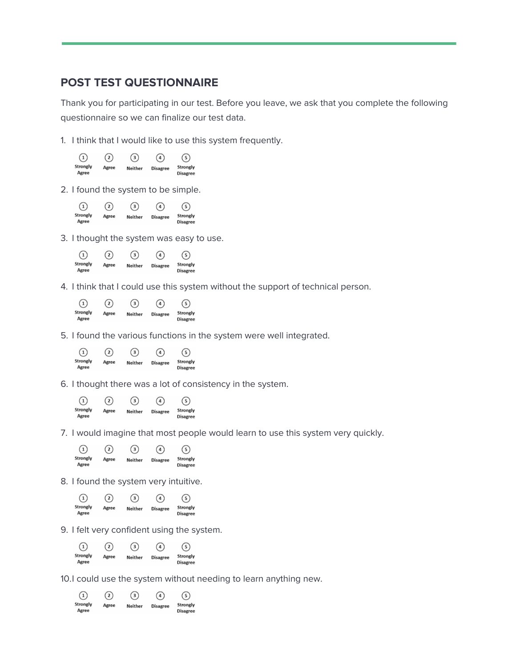#### **POST TEST QUESTIONNAIRE**

Thank you for participating in our test. Before you leave, we ask that you complete the following questionnaire so we can finalize our test data.

1. I think that I would like to use this system frequently.

| $\left( 1\right)$ | $\Omega$ | (3)     | $\sqrt{4}$      | $\sqrt{5}$                  |
|-------------------|----------|---------|-----------------|-----------------------------|
| Strongly<br>Agree | Agree    | Neither | <b>Disagree</b> | Strongly<br><b>Disagree</b> |

2. I found the system to be simple.

| $\left(1\right)$  | $\left( 2\right)$ | $\left(3\right)$ | $\overline{4}$  | $\sqrt{5}$                  |
|-------------------|-------------------|------------------|-----------------|-----------------------------|
| Strongly<br>Agree | Agree             | <b>Neither</b>   | <b>Disagree</b> | Strongly<br><b>Disagree</b> |

3. I thought the system was easy to use.



4. I think that I could use this system without the support of technical person.

| $\left( 1\right)$ | $\left( 2\right)$ | (3)            | $\binom{4}{ }$  | (5)                         |
|-------------------|-------------------|----------------|-----------------|-----------------------------|
| Strongly<br>Agree | Agree             | <b>Neither</b> | <b>Disagree</b> | Strongly<br><b>Disagree</b> |

5. I found the various functions in the system were well integrated.



6. I thought there was a lot of consistency in the system.



7. I would imagine that most people would learn to use this system very quickly.



8. I found the system very intuitive.



9. I felt very confident using the system.

| $\left( \widehat{1}\right)$ | $\Omega$ | $\binom{3}{}$ | $\left( 4\right)$ | (5)                         |
|-----------------------------|----------|---------------|-------------------|-----------------------------|
| Strongly<br>Agree           | Agree    | Neither       | <b>Disagree</b>   | Strongly<br><b>Disagree</b> |

10.I could use the system without needing to learn anything new.